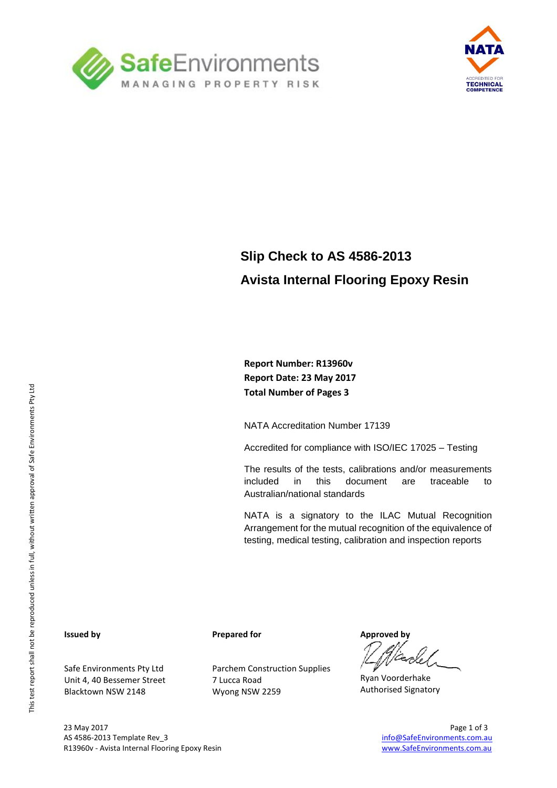



### **Slip Check to AS 4586-2013 Avista Internal Flooring Epoxy Resin**

**Report Number: R13960v Report Date: 23 May 2017 Total Number of Pages 3**

NATA Accreditation Number 17139

Accredited for compliance with ISO/IEC 17025 – Testing

The results of the tests, calibrations and/or measurements included in this document are traceable to Australian/national standards

NATA is a signatory to the ILAC Mutual Recognition Arrangement for the mutual recognition of the equivalence of testing, medical testing, calibration and inspection reports

#### **Issued by**

Safe Environments Pty Ltd Unit 4, 40 Bessemer Street Blacktown NSW 2148

**Prepared for**

Parchem Construction Supplies 7 Lucca Road Wyong NSW 2259

**Approved by**

Ryan Voorderhake Authorised Signatory

23 May 2017 Page 1 of 3 AS 4586-2013 Template Rev\_3 [info@SafeEnvironments.com.au](mailto:info@SafeEnvironments.com.au) info@SafeEnvironments.com.au R13960v - Avista Internal Flooring Epoxy Resin [www.SafeEnvironments.com.au](http://www.safeenvironments.com.au/) Care and The Wave Western Western W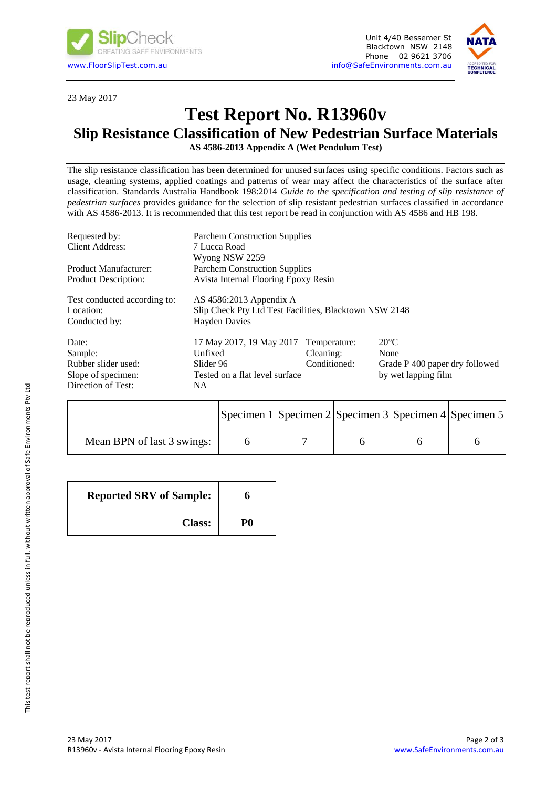



23 May 2017

### **Test Report No. R13960v**

### **Slip Resistance Classification of New Pedestrian Surface Materials**

**AS 4586-2013 Appendix A (Wet Pendulum Test)**

The slip resistance classification has been determined for unused surfaces using specific conditions. Factors such as usage, cleaning systems, applied coatings and patterns of wear may affect the characteristics of the surface after classification. Standards Australia Handbook 198:2014 *Guide to the specification and testing of slip resistance of pedestrian surfaces* provides guidance for the selection of slip resistant pedestrian surfaces classified in accordance with AS 4586-2013. It is recommended that this test report be read in conjunction with AS 4586 and HB 198.

| Requested by:<br><b>Client Address:</b>                                             | <b>Parchem Construction Supplies</b><br>7 Lucca Road<br>Wyong NSW 2259                                      |                                           |                                                                                 |  |  |
|-------------------------------------------------------------------------------------|-------------------------------------------------------------------------------------------------------------|-------------------------------------------|---------------------------------------------------------------------------------|--|--|
| <b>Product Manufacturer:</b><br><b>Product Description:</b>                         | <b>Parchem Construction Supplies</b><br>Avista Internal Flooring Epoxy Resin                                |                                           |                                                                                 |  |  |
| Test conducted according to:<br>Location:<br>Conducted by:                          | AS $4586:2013$ Appendix A<br>Slip Check Pty Ltd Test Facilities, Blacktown NSW 2148<br><b>Hayden Davies</b> |                                           |                                                                                 |  |  |
| Date:<br>Sample:<br>Rubber slider used:<br>Slope of specimen:<br>Direction of Test: | 17 May 2017, 19 May 2017<br>Unfixed<br>Slider 96<br>Tested on a flat level surface<br>NA.                   | Temperature:<br>Cleaning:<br>Conditioned: | $20^{\circ}$ C<br>None<br>Grade P 400 paper dry followed<br>by wet lapping film |  |  |

|                            | Specimen $1$ Specimen $2$ Specimen $3$ Specimen $4$ Specimen 5 |  |  |
|----------------------------|----------------------------------------------------------------|--|--|
| Mean BPN of last 3 swings: |                                                                |  |  |

| <b>Reported SRV of Sample:</b> |    |  |
|--------------------------------|----|--|
| <b>Class:</b>                  | P0 |  |